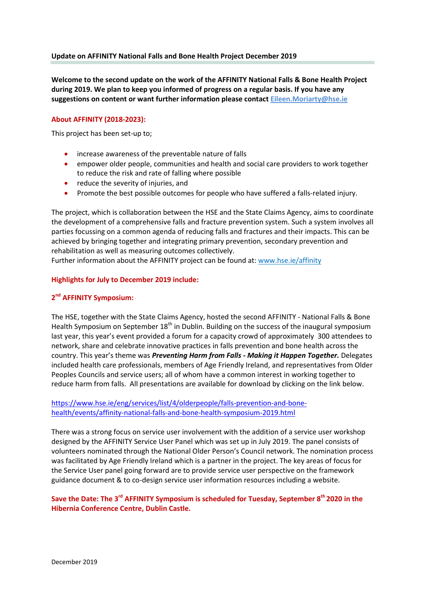### **Update on AFFINITY National Falls and Bone Health Project December 2019**

**Welcome to the second update on the work of the AFFINITY National Falls & Bone Health Project during 2019. We plan to keep you informed of progress on a regular basis. If you have any suggestions on content or want further information please contact [Eileen.Moriarty@hse.ie](mailto:Eileen.Moriarty@hse.ie)**

## **About AFFINITY (2018-2023):**

This project has been set-up to;

- increase awareness of the preventable nature of falls
- empower older people, communities and health and social care providers to work together to reduce the risk and rate of falling where possible
- reduce the severity of injuries, and
- **•** Promote the best possible outcomes for people who have suffered a falls-related injury.

The project, which is collaboration between the HSE and the State Claims Agency, aims to coordinate the development of a comprehensive falls and fracture prevention system. Such a system involves all parties focussing on a common agenda of reducing falls and fractures and their impacts. This can be achieved by bringing together and integrating primary prevention, secondary prevention and rehabilitation as well as measuring outcomes collectively.

Further information about the AFFINITY project can be found at[: www.hse.ie/affinity](http://www.hse.ie/affinity)

#### **Highlights for July to December 2019 include:**

# **2 nd AFFINITY Symposium:**

The HSE, together with the State Claims Agency, hosted the second AFFINITY - National Falls & Bone Health Symposium on September 18<sup>th</sup> in Dublin. Building on the success of the inaugural symposium last year, this year's event provided a forum for a capacity crowd of approximately 300 attendees to network, share and celebrate innovative practices in falls prevention and bone health across the country. This year's theme was *Preventing Harm from Falls - Making it Happen Together.* Delegates included health care professionals, members of Age Friendly Ireland, and representatives from Older Peoples Councils and service users; all of whom have a common interest in working together to reduce harm from falls. All presentations are available for download by clicking on the link below.

# [https://www.hse.ie/eng/services/list/4/olderpeople/falls-prevention-and-bone](https://www.hse.ie/eng/services/list/4/olderpeople/falls-prevention-and-bone-health/events/affinity-national-falls-and-bone-health-symposium-2019.html)[health/events/affinity-national-falls-and-bone-health-symposium-2019.html](https://www.hse.ie/eng/services/list/4/olderpeople/falls-prevention-and-bone-health/events/affinity-national-falls-and-bone-health-symposium-2019.html)

There was a strong focus on service user involvement with the addition of a service user workshop designed by the AFFINITY Service User Panel which was set up in July 2019. The panel consists of volunteers nominated through the National Older Person's Council network. The nomination process was facilitated by Age Friendly Ireland which is a partner in the project. The key areas of focus for the Service User panel going forward are to provide service user perspective on the framework guidance document & to co-design service user information resources including a website.

# Save the Date: The 3<sup>rd</sup> AFFINITY Symposium is scheduled for Tuesday, September 8<sup>th</sup> 2020 in the **Hibernia Conference Centre, Dublin Castle.**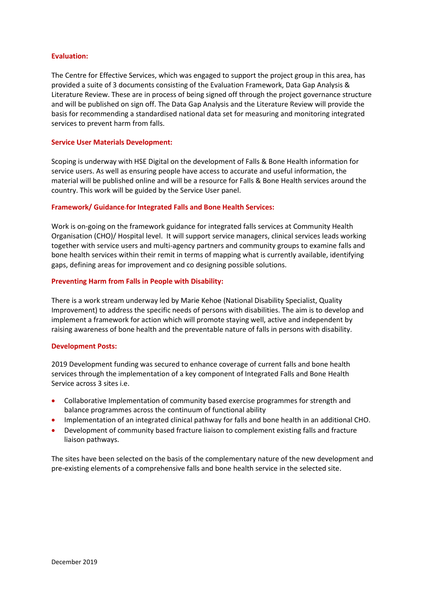### **Evaluation:**

The Centre for Effective Services, which was engaged to support the project group in this area, has provided a suite of 3 documents consisting of the Evaluation Framework, Data Gap Analysis & Literature Review. These are in process of being signed off through the project governance structure and will be published on sign off. The Data Gap Analysis and the Literature Review will provide the basis for recommending a standardised national data set for measuring and monitoring integrated services to prevent harm from falls.

### **Service User Materials Development:**

Scoping is underway with HSE Digital on the development of Falls & Bone Health information for service users. As well as ensuring people have access to accurate and useful information, the material will be published online and will be a resource for Falls & Bone Health services around the country. This work will be guided by the Service User panel.

#### **Framework/ Guidance for Integrated Falls and Bone Health Services:**

Work is on-going on the framework guidance for integrated falls services at Community Health Organisation (CHO)/ Hospital level. It will support service managers, clinical services leads working together with service users and multi-agency partners and community groups to examine falls and bone health services within their remit in terms of mapping what is currently available, identifying gaps, defining areas for improvement and co designing possible solutions.

#### **Preventing Harm from Falls in People with Disability:**

There is a work stream underway led by Marie Kehoe (National Disability Specialist, Quality Improvement) to address the specific needs of persons with disabilities. The aim is to develop and implement a framework for action which will promote staying well, active and independent by raising awareness of bone health and the preventable nature of falls in persons with disability.

#### **Development Posts:**

2019 Development funding was secured to enhance coverage of current falls and bone health services through the implementation of a key component of Integrated Falls and Bone Health Service across 3 sites i.e.

- Collaborative Implementation of community based exercise programmes for strength and balance programmes across the continuum of functional ability
- Implementation of an integrated clinical pathway for falls and bone health in an additional CHO.
- Development of community based fracture liaison to complement existing falls and fracture liaison pathways.

The sites have been selected on the basis of the complementary nature of the new development and pre-existing elements of a comprehensive falls and bone health service in the selected site.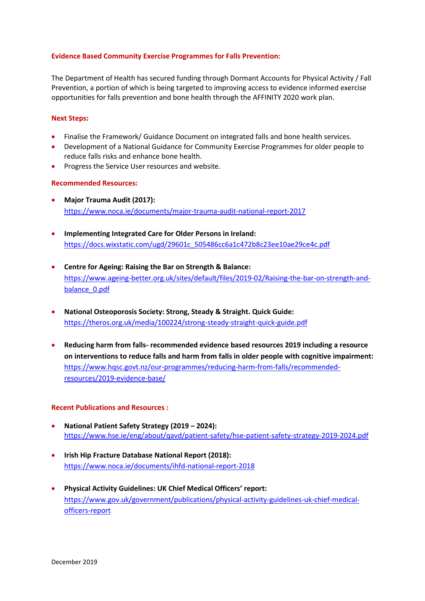## **Evidence Based Community Exercise Programmes for Falls Prevention:**

The Department of Health has secured funding through Dormant Accounts for Physical Activity / Fall Prevention, a portion of which is being targeted to improving access to evidence informed exercise opportunities for falls prevention and bone health through the AFFINITY 2020 work plan.

## **Next Steps:**

- Finalise the Framework/ Guidance Document on integrated falls and bone health services.
- Development of a National Guidance for Community Exercise Programmes for older people to reduce falls risks and enhance bone health.
- Progress the Service User resources and website.

#### **Recommended Resources:**

- **Major Trauma Audit (2017):** <https://www.noca.ie/documents/major-trauma-audit-national-report-2017>
- **Implementing Integrated Care for Older Persons in Ireland:** [https://docs.wixstatic.com/ugd/29601c\\_505486cc6a1c472b8c23ee10ae29ce4c.pdf](https://docs.wixstatic.com/ugd/29601c_505486cc6a1c472b8c23ee10ae29ce4c.pdf)
- **Centre for Ageing: Raising the Bar on Strength & Balance:** [https://www.ageing-better.org.uk/sites/default/files/2019-02/Raising-the-bar-on-strength-and](https://www.ageing-better.org.uk/sites/default/files/2019-02/Raising-the-bar-on-strength-and-balance_0.pdf)[balance\\_0.pdf](https://www.ageing-better.org.uk/sites/default/files/2019-02/Raising-the-bar-on-strength-and-balance_0.pdf)
- **National Osteoporosis Society: Strong, Steady & Straight. Quick Guide:**  <https://theros.org.uk/media/100224/strong-steady-straight-quick-guide.pdf>
- **Reducing harm from falls- recommended evidence based resources 2019 including a resource on interventions to reduce falls and harm from falls in older people with cognitive impairment:** [https://www.hqsc.govt.nz/our-programmes/reducing-harm-from-falls/recommended](https://www.hqsc.govt.nz/our-programmes/reducing-harm-from-falls/recommended-resources/2019-evidence-base/)[resources/2019-evidence-base/](https://www.hqsc.govt.nz/our-programmes/reducing-harm-from-falls/recommended-resources/2019-evidence-base/)

#### **Recent Publications and Resources :**

- **National Patient Safety Strategy (2019 – 2024):** <https://www.hse.ie/eng/about/qavd/patient-safety/hse-patient-safety-strategy-2019-2024.pdf>
- **Irish Hip Fracture Database National Report (2018):** <https://www.noca.ie/documents/ihfd-national-report-2018>
- **Physical Activity Guidelines: UK Chief Medical Officers' report:** [https://www.gov.uk/government/publications/physical-activity-guidelines-uk-chief-medical](https://www.gov.uk/government/publications/physical-activity-guidelines-uk-chief-medical-officers-report)[officers-report](https://www.gov.uk/government/publications/physical-activity-guidelines-uk-chief-medical-officers-report)